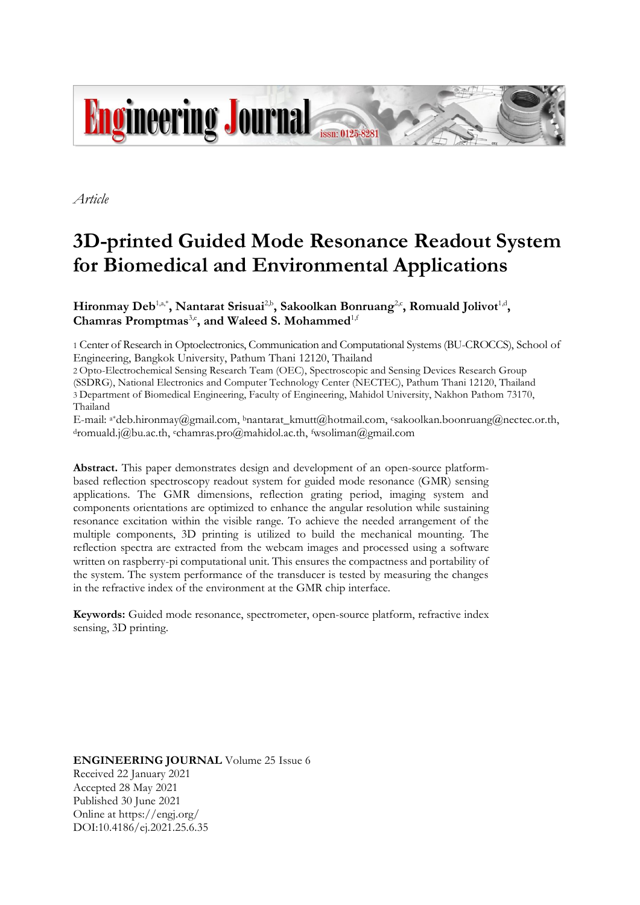

*Article*

# **3D-printed Guided Mode Resonance Readout System for Biomedical and Environmental Applications**

Hironmay Deb<sup>1,a,\*</sup>, Nantarat Srisuai<sup>2,b</sup>, Sakoolkan Bonruang<sup>2,c</sup>, Romuald Jolivot<sup>1,d</sup>, Chamras Promptmas<sup>3,e</sup>, and Waleed S. Mohammed<sup>1,f</sup>

1 Center of Research in Optoelectronics, Communication and Computational Systems (BU-CROCCS), School of Engineering, Bangkok University, Pathum Thani 12120, Thailand

2 Opto-Electrochemical Sensing Research Team (OEC), Spectroscopic and Sensing Devices Research Group (SSDRG), National Electronics and Computer Technology Center (NECTEC), Pathum Thani 12120, Thailand 3 Department of Biomedical Engineering, Faculty of Engineering, Mahidol University, Nakhon Pathom 73170, Thailand

E-mail: a\*deb.hironmay@gmail.com, <sup>b</sup>nantarat\_kmutt@hotmail.com, csakoolkan.boonruang@nectec.or.th, <sup>d</sup>romuald.j@bu.ac.th, echamras.pro@mahidol.ac.th, fwsoliman@gmail.com

**Abstract.** This paper demonstrates design and development of an open-source platformbased reflection spectroscopy readout system for guided mode resonance (GMR) sensing applications. The GMR dimensions, reflection grating period, imaging system and components orientations are optimized to enhance the angular resolution while sustaining resonance excitation within the visible range. To achieve the needed arrangement of the multiple components, 3D printing is utilized to build the mechanical mounting. The reflection spectra are extracted from the webcam images and processed using a software written on raspberry-pi computational unit. This ensures the compactness and portability of the system. The system performance of the transducer is tested by measuring the changes in the refractive index of the environment at the GMR chip interface.

**Keywords:** Guided mode resonance, spectrometer, open-source platform, refractive index sensing, 3D printing.

**ENGINEERING JOURNAL** Volume 25 Issue 6 Received 22 January 2021 Accepted 28 May 2021 Published 30 June 2021 Online at https://engj.org/ DOI:10.4186/ej.2021.25.6.35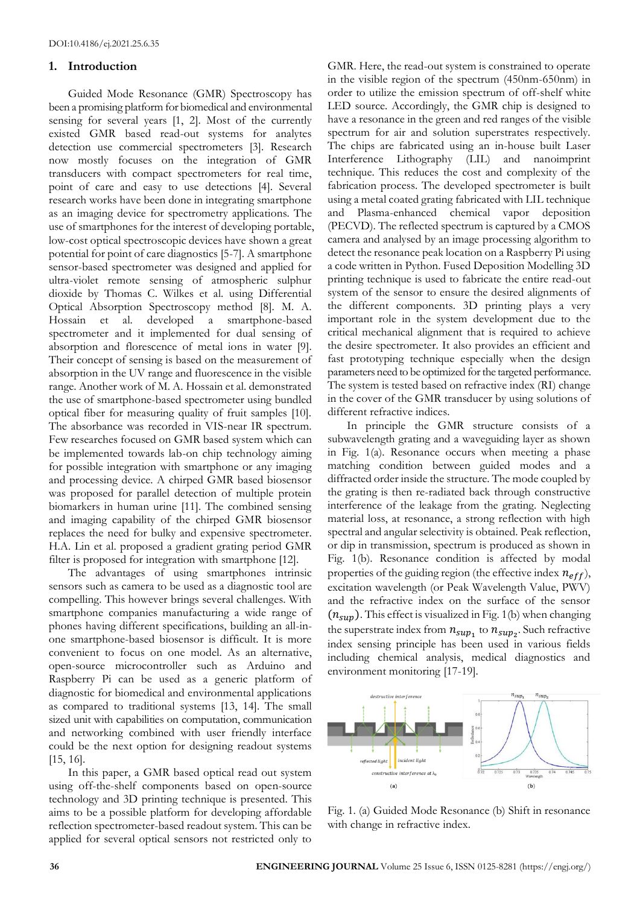# **1. Introduction**

Guided Mode Resonance (GMR) Spectroscopy has been a promising platform for biomedical and environmental sensing for several years [1, 2]. Most of the currently existed GMR based read-out systems for analytes detection use commercial spectrometers [3]. Research now mostly focuses on the integration of GMR transducers with compact spectrometers for real time, point of care and easy to use detections [4]. Several research works have been done in integrating smartphone as an imaging device for spectrometry applications. The use of smartphones for the interest of developing portable, low-cost optical spectroscopic devices have shown a great potential for point of care diagnostics [5-7]. A smartphone sensor-based spectrometer was designed and applied for ultra-violet remote sensing of atmospheric sulphur dioxide by Thomas C. Wilkes et al. using Differential Optical Absorption Spectroscopy method [8]. M. A. Hossain et al. developed a smartphone-based spectrometer and it implemented for dual sensing of absorption and florescence of metal ions in water [9]. Their concept of sensing is based on the measurement of absorption in the UV range and fluorescence in the visible range. Another work of M. A. Hossain et al. demonstrated the use of smartphone-based spectrometer using bundled optical fiber for measuring quality of fruit samples [10]. The absorbance was recorded in VIS-near IR spectrum. Few researches focused on GMR based system which can be implemented towards lab-on chip technology aiming for possible integration with smartphone or any imaging and processing device. A chirped GMR based biosensor was proposed for parallel detection of multiple protein biomarkers in human urine [11]. The combined sensing and imaging capability of the chirped GMR biosensor replaces the need for bulky and expensive spectrometer. H.A. Lin et al. proposed a gradient grating period GMR filter is proposed for integration with smartphone [12].

The advantages of using smartphones intrinsic sensors such as camera to be used as a diagnostic tool are compelling. This however brings several challenges. With smartphone companies manufacturing a wide range of phones having different specifications, building an all-inone smartphone-based biosensor is difficult. It is more convenient to focus on one model. As an alternative, open-source microcontroller such as Arduino and Raspberry Pi can be used as a generic platform of diagnostic for biomedical and environmental applications as compared to traditional systems [13, 14]. The small sized unit with capabilities on computation, communication and networking combined with user friendly interface could be the next option for designing readout systems [15, 16].

In this paper, a GMR based optical read out system using off-the-shelf components based on open-source technology and 3D printing technique is presented. This aims to be a possible platform for developing affordable reflection spectrometer-based readout system. This can be applied for several optical sensors not restricted only to

GMR. Here, the read-out system is constrained to operate in the visible region of the spectrum (450nm-650nm) in order to utilize the emission spectrum of off-shelf white LED source. Accordingly, the GMR chip is designed to have a resonance in the green and red ranges of the visible spectrum for air and solution superstrates respectively. The chips are fabricated using an in-house built Laser Interference Lithography (LIL) and nanoimprint technique. This reduces the cost and complexity of the fabrication process. The developed spectrometer is built using a metal coated grating fabricated with LIL technique and Plasma-enhanced chemical vapor deposition (PECVD). The reflected spectrum is captured by a CMOS camera and analysed by an image processing algorithm to detect the resonance peak location on a Raspberry Pi using a code written in Python. Fused Deposition Modelling 3D printing technique is used to fabricate the entire read-out system of the sensor to ensure the desired alignments of the different components. 3D printing plays a very important role in the system development due to the critical mechanical alignment that is required to achieve the desire spectrometer. It also provides an efficient and fast prototyping technique especially when the design parameters need to be optimized for the targeted performance. The system is tested based on refractive index (RI) change in the cover of the GMR transducer by using solutions of different refractive indices.

In principle the GMR structure consists of a subwavelength grating and a waveguiding layer as shown in Fig. 1(a). Resonance occurs when meeting a phase matching condition between guided modes and a diffracted order inside the structure. The mode coupled by the grating is then re-radiated back through constructive interference of the leakage from the grating. Neglecting material loss, at resonance, a strong reflection with high spectral and angular selectivity is obtained. Peak reflection, or dip in transmission, spectrum is produced as shown in Fig. 1(b). Resonance condition is affected by modal properties of the guiding region (the effective index  $n_{eff}$ ), excitation wavelength (or Peak Wavelength Value, PWV) and the refractive index on the surface of the sensor  $(n_{\text{sup}})$ . This effect is visualized in Fig. 1(b) when changing the superstrate index from  $n_{sup_1}$  to  $n_{sup_2}$ . Such refractive index sensing principle has been used in various fields including chemical analysis, medical diagnostics and environment monitoring [17-19].



Fig. 1. (a) Guided Mode Resonance (b) Shift in resonance with change in refractive index.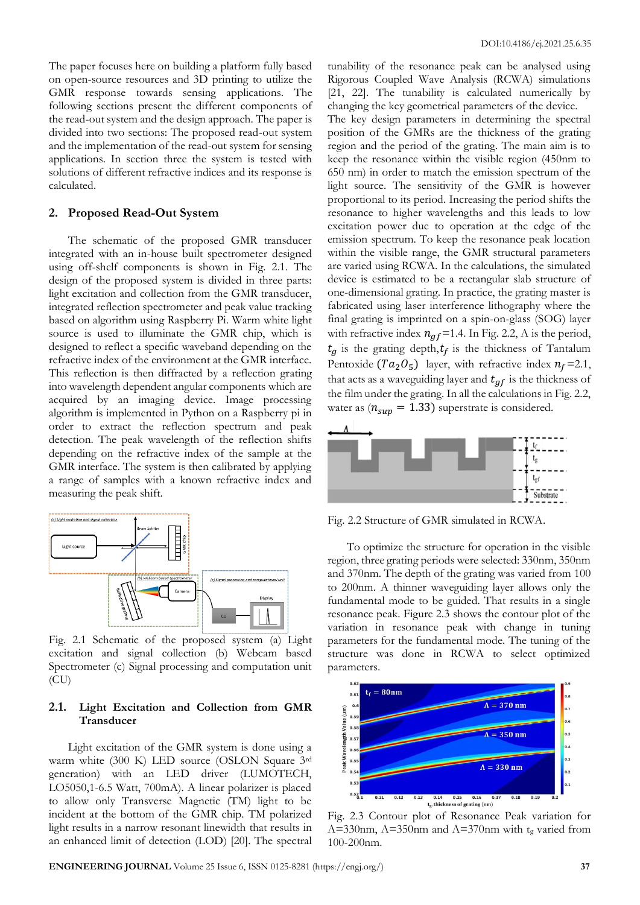The paper focuses here on building a platform fully based on open-source resources and 3D printing to utilize the GMR response towards sensing applications. The following sections present the different components of the read-out system and the design approach. The paper is divided into two sections: The proposed read-out system and the implementation of the read-out system for sensing applications. In section three the system is tested with solutions of different refractive indices and its response is calculated.

### **2. Proposed Read-Out System**

The schematic of the proposed GMR transducer integrated with an in-house built spectrometer designed using off-shelf components is shown in Fig. 2.1. The design of the proposed system is divided in three parts: light excitation and collection from the GMR transducer, integrated reflection spectrometer and peak value tracking based on algorithm using Raspberry Pi. Warm white light source is used to illuminate the GMR chip, which is designed to reflect a specific waveband depending on the refractive index of the environment at the GMR interface. This reflection is then diffracted by a reflection grating into wavelength dependent angular components which are acquired by an imaging device. Image processing algorithm is implemented in Python on a Raspberry pi in order to extract the reflection spectrum and peak detection. The peak wavelength of the reflection shifts depending on the refractive index of the sample at the GMR interface. The system is then calibrated by applying a range of samples with a known refractive index and measuring the peak shift.



Fig. 2.1 Schematic of the proposed system (a) Light excitation and signal collection (b) Webcam based Spectrometer (c) Signal processing and computation unit (CU)

## **2.1. Light Excitation and Collection from GMR Transducer**

Light excitation of the GMR system is done using a warm white (300 K) LED source (OSLON Square 3rd generation) with an LED driver (LUMOTECH, LO5050,1-6.5 Watt, 700mA). A linear polarizer is placed to allow only Transverse Magnetic (TM) light to be incident at the bottom of the GMR chip. TM polarized light results in a narrow resonant linewidth that results in an enhanced limit of detection (LOD) [20]. The spectral tunability of the resonance peak can be analysed using Rigorous Coupled Wave Analysis (RCWA) simulations [21, 22]. The tunability is calculated numerically by changing the key geometrical parameters of the device.

The key design parameters in determining the spectral position of the GMRs are the thickness of the grating region and the period of the grating. The main aim is to keep the resonance within the visible region (450nm to 650 nm) in order to match the emission spectrum of the light source. The sensitivity of the GMR is however proportional to its period. Increasing the period shifts the resonance to higher wavelengths and this leads to low excitation power due to operation at the edge of the emission spectrum. To keep the resonance peak location within the visible range, the GMR structural parameters are varied using RCWA. In the calculations, the simulated device is estimated to be a rectangular slab structure of one-dimensional grating. In practice, the grating master is fabricated using laser interference lithography where the final grating is imprinted on a spin-on-glass (SOG) layer with refractive index  $n_{qf}$ =1.4. In Fig. 2.2,  $\Lambda$  is the period,  $t_q$  is the grating depth,  $t_f$  is the thickness of Tantalum Pentoxide ( $Ta_2O_5$ ) layer, with refractive index  $n_f$ =2.1, that acts as a waveguiding layer and  $t_{gf}$  is the thickness of the film under the grating. In all the calculations in Fig. 2.2, water as  $(n_{\text{sup}} = 1.33)$  superstrate is considered.



Fig. 2.2 Structure of GMR simulated in RCWA.

To optimize the structure for operation in the visible region, three grating periods were selected: 330nm, 350nm and 370nm. The depth of the grating was varied from 100 to 200nm. A thinner waveguiding layer allows only the fundamental mode to be guided. That results in a single resonance peak. Figure 2.3 shows the contour plot of the variation in resonance peak with change in tuning parameters for the fundamental mode. The tuning of the structure was done in RCWA to select optimized parameters.



Fig. 2.3 Contour plot of Resonance Peak variation for  $\Lambda$ =330nm,  $\Lambda$ =350nm and  $\Lambda$ =370nm with tg varied from 100-200nm.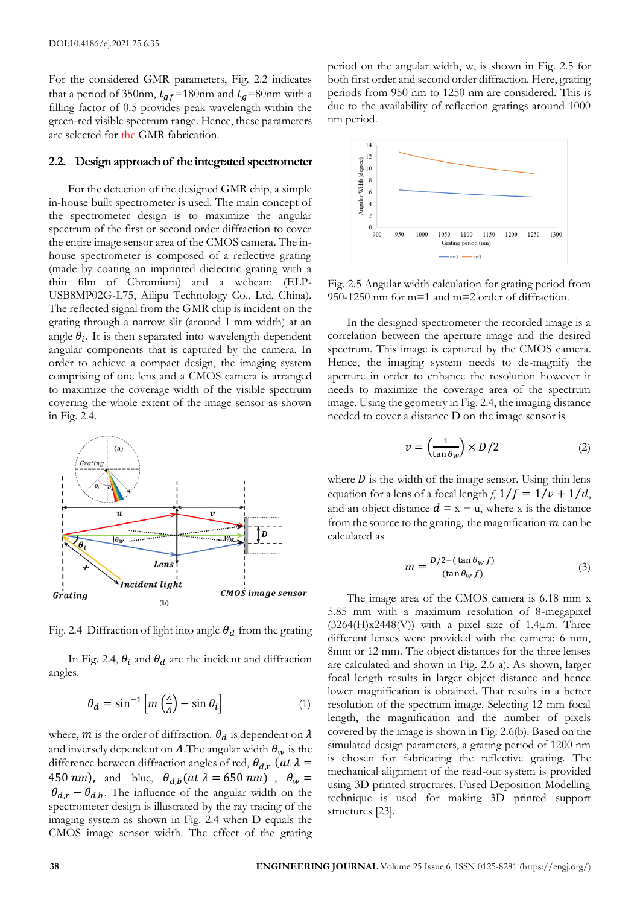For the considered GMR parameters, Fig. 2.2 indicates that a period of 350nm,  $t_{qf}$ =180nm and  $t_{q}$ =80nm with a filling factor of 0.5 provides peak wavelength within the green-red visible spectrum range. Hence, these parameters are selected for the GMR fabrication.

### **2.2. Design approach of the integrated spectrometer**

For the detection of the designed GMR chip, a simple in-house built spectrometer is used. The main concept of the spectrometer design is to maximize the angular spectrum of the first or second order diffraction to cover the entire image sensor area of the CMOS camera. The inhouse spectrometer is composed of a reflective grating (made by coating an imprinted dielectric grating with a thin film of Chromium) and a webcam (ELP-USB8MP02G-L75, Ailipu Technology Co., Ltd, China). The reflected signal from the GMR chip is incident on the grating through a narrow slit (around 1 mm width) at an angle  $\theta_i$ . It is then separated into wavelength dependent angular components that is captured by the camera. In order to achieve a compact design, the imaging system comprising of one lens and a CMOS camera is arranged to maximize the coverage width of the visible spectrum covering the whole extent of the image sensor as shown in Fig. 2.4.



Fig. 2.4 Diffraction of light into angle  $\theta_d$  from the grating

In Fig. 2.4,  $\theta_i$  and  $\theta_d$  are the incident and diffraction angles.

$$
\theta_d = \sin^{-1}\left[m\left(\frac{\lambda}{d}\right) - \sin\theta_i\right] \tag{1}
$$

where,  $m$  is the order of diffraction.  $\theta_d$  is dependent on  $\lambda$ and inversely dependent on  $\Lambda$ . The angular width  $\theta_w$  is the difference between diffraction angles of red,  $\theta_{d,r}$  (at  $\lambda =$ 450 nm), and blue,  $\theta_{d,b}(\alpha t \lambda = 650 \text{ nm})$ ,  $\theta_w =$  $\theta_{d,r} - \theta_{d,b}$ . The influence of the angular width on the spectrometer design is illustrated by the ray tracing of the imaging system as shown in Fig. 2.4 when D equals the CMOS image sensor width. The effect of the grating period on the angular width, w, is shown in Fig. 2.5 for both first order and second order diffraction. Here, grating periods from 950 nm to 1250 nm are considered. This is due to the availability of reflection gratings around 1000 nm period.



Fig. 2.5 Angular width calculation for grating period from 950-1250 nm for m=1 and m=2 order of diffraction.

In the designed spectrometer the recorded image is a correlation between the aperture image and the desired spectrum. This image is captured by the CMOS camera. Hence, the imaging system needs to de-magnify the aperture in order to enhance the resolution however it needs to maximize the coverage area of the spectrum image. Using the geometry in Fig. 2.4, the imaging distance needed to cover a distance D on the image sensor is

$$
v = \left(\frac{1}{\tan \theta_w}\right) \times D/2 \tag{2}
$$

where  $D$  is the width of the image sensor. Using thin lens equation for a lens of a focal length *f*,  $1/f = 1/v + 1/d$ , and an object distance  $d = x + u$ , where x is the distance from the source to the grating, the magnification  $m$  can be calculated as

$$
m = \frac{D/2 - (\tan \theta_W f)}{(\tan \theta_W f)}
$$
(3)

The image area of the CMOS camera is 6.18 mm x 5.85 mm with a maximum resolution of 8-megapixel  $(3264(H)x2448(V))$  with a pixel size of 1.4 $\mu$ m. Three different lenses were provided with the camera: 6 mm, 8mm or 12 mm. The object distances for the three lenses are calculated and shown in Fig. 2.6 a). As shown, larger focal length results in larger object distance and hence lower magnification is obtained. That results in a better resolution of the spectrum image. Selecting 12 mm focal length, the magnification and the number of pixels covered by the image is shown in Fig. 2.6(b). Based on the simulated design parameters, a grating period of 1200 nm is chosen for fabricating the reflective grating. The mechanical alignment of the read-out system is provided using 3D printed structures. Fused Deposition Modelling technique is used for making 3D printed support structures [23].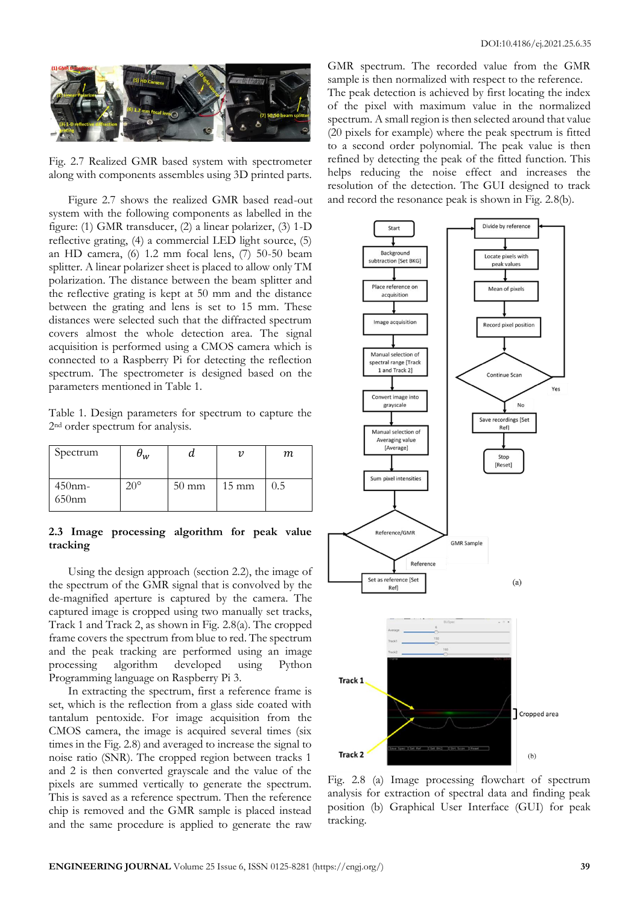

Fig. 2.7 Realized GMR based system with spectrometer along with components assembles using 3D printed parts.

Figure 2.7 shows the realized GMR based read-out system with the following components as labelled in the figure: (1) GMR transducer, (2) a linear polarizer, (3) 1-D reflective grating, (4) a commercial LED light source, (5) an HD camera, (6) 1.2 mm focal lens, (7) 50-50 beam splitter. A linear polarizer sheet is placed to allow only TM polarization. The distance between the beam splitter and the reflective grating is kept at 50 mm and the distance between the grating and lens is set to 15 mm. These distances were selected such that the diffracted spectrum covers almost the whole detection area. The signal acquisition is performed using a CMOS camera which is connected to a Raspberry Pi for detecting the reflection spectrum. The spectrometer is designed based on the parameters mentioned in Table 1.

Table 1. Design parameters for spectrum to capture the 2nd order spectrum for analysis.

| Spectrum           | $\mathsf{v}_w$ |                 |                 | т   |
|--------------------|----------------|-----------------|-----------------|-----|
| $450$ nm-<br>650nm | ∘∩פ            | $50 \text{ mm}$ | $15 \text{ mm}$ | 0.5 |

## **2.3 Image processing algorithm for peak value tracking**

Using the design approach (section 2.2), the image of the spectrum of the GMR signal that is convolved by the de-magnified aperture is captured by the camera. The captured image is cropped using two manually set tracks, Track 1 and Track 2, as shown in Fig. 2.8(a). The cropped frame covers the spectrum from blue to red. The spectrum and the peak tracking are performed using an image processing algorithm developed using Python Programming language on Raspberry Pi 3.

In extracting the spectrum, first a reference frame is set, which is the reflection from a glass side coated with tantalum pentoxide. For image acquisition from the CMOS camera, the image is acquired several times (six times in the Fig. 2.8) and averaged to increase the signal to noise ratio (SNR). The cropped region between tracks 1 and 2 is then converted grayscale and the value of the pixels are summed vertically to generate the spectrum. This is saved as a reference spectrum. Then the reference chip is removed and the GMR sample is placed instead and the same procedure is applied to generate the raw

GMR spectrum. The recorded value from the GMR sample is then normalized with respect to the reference. The peak detection is achieved by first locating the index

of the pixel with maximum value in the normalized spectrum. A small region is then selected around that value (20 pixels for example) where the peak spectrum is fitted to a second order polynomial. The peak value is then refined by detecting the peak of the fitted function. This helps reducing the noise effect and increases the resolution of the detection. The GUI designed to track and record the resonance peak is shown in Fig. 2.8(b).



Fig. 2.8 (a) Image processing flowchart of spectrum analysis for extraction of spectral data and finding peak position (b) Graphical User Interface (GUI) for peak tracking.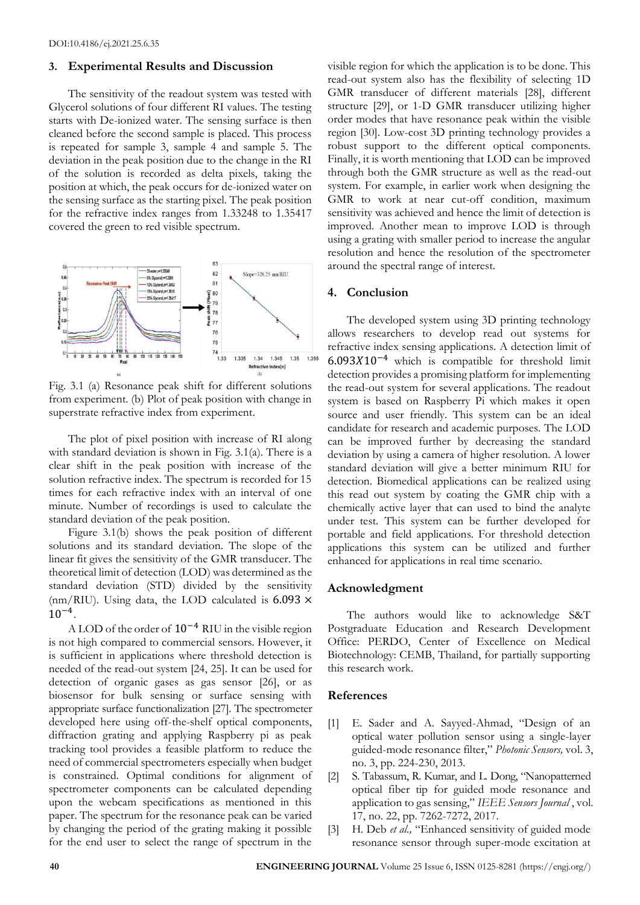## **3. Experimental Results and Discussion**

The sensitivity of the readout system was tested with Glycerol solutions of four different RI values. The testing starts with De-ionized water. The sensing surface is then cleaned before the second sample is placed. This process is repeated for sample 3, sample 4 and sample 5. The deviation in the peak position due to the change in the RI of the solution is recorded as delta pixels, taking the position at which, the peak occurs for de-ionized water on the sensing surface as the starting pixel. The peak position for the refractive index ranges from 1.33248 to 1.35417 covered the green to red visible spectrum.



Fig. 3.1 (a) Resonance peak shift for different solutions from experiment. (b) Plot of peak position with change in superstrate refractive index from experiment.

The plot of pixel position with increase of RI along with standard deviation is shown in Fig. 3.1(a). There is a clear shift in the peak position with increase of the solution refractive index. The spectrum is recorded for 15 times for each refractive index with an interval of one minute. Number of recordings is used to calculate the standard deviation of the peak position.

Figure 3.1(b) shows the peak position of different solutions and its standard deviation. The slope of the linear fit gives the sensitivity of the GMR transducer. The theoretical limit of detection (LOD) was determined as the standard deviation (STD) divided by the sensitivity (nm/RIU). Using data, the LOD calculated is  $6.093 \times$ 10−4 .

A LOD of the order of 10−4 RIU in the visible region is not high compared to commercial sensors. However, it is sufficient in applications where threshold detection is needed of the read-out system [24, 25]. It can be used for detection of organic gases as gas sensor [26], or as biosensor for bulk sensing or surface sensing with appropriate surface functionalization [27]. The spectrometer developed here using off-the-shelf optical components, diffraction grating and applying Raspberry pi as peak tracking tool provides a feasible platform to reduce the need of commercial spectrometers especially when budget is constrained. Optimal conditions for alignment of spectrometer components can be calculated depending upon the webcam specifications as mentioned in this paper. The spectrum for the resonance peak can be varied by changing the period of the grating making it possible for the end user to select the range of spectrum in the

visible region for which the application is to be done. This read-out system also has the flexibility of selecting 1D GMR transducer of different materials [28], different structure [29], or 1-D GMR transducer utilizing higher order modes that have resonance peak within the visible region [30]. Low-cost 3D printing technology provides a robust support to the different optical components. Finally, it is worth mentioning that LOD can be improved through both the GMR structure as well as the read-out system. For example, in earlier work when designing the GMR to work at near cut-off condition, maximum sensitivity was achieved and hence the limit of detection is improved. Another mean to improve LOD is through using a grating with smaller period to increase the angular resolution and hence the resolution of the spectrometer around the spectral range of interest.

## **4. Conclusion**

The developed system using 3D printing technology allows researchers to develop read out systems for refractive index sensing applications. A detection limit of 6.09310−4 which is compatible for threshold limit detection provides a promising platform for implementing the read-out system for several applications. The readout system is based on Raspberry Pi which makes it open source and user friendly. This system can be an ideal candidate for research and academic purposes. The LOD can be improved further by decreasing the standard deviation by using a camera of higher resolution. A lower standard deviation will give a better minimum RIU for detection. Biomedical applications can be realized using this read out system by coating the GMR chip with a chemically active layer that can used to bind the analyte under test. This system can be further developed for portable and field applications. For threshold detection applications this system can be utilized and further enhanced for applications in real time scenario.

### **Acknowledgment**

The authors would like to acknowledge S&T Postgraduate Education and Research Development Office: PERDO, Center of Excellence on Medical Biotechnology: CEMB, Thailand, for partially supporting this research work.

## **References**

- [1] E. Sader and A. Sayyed-Ahmad, "Design of an optical water pollution sensor using a single-layer guided-mode resonance filter," *Photonic Sensors,* vol. 3, no. 3, pp. 224-230, 2013.
- [2] S. Tabassum, R. Kumar, and L. Dong, "Nanopatterned optical fiber tip for guided mode resonance and application to gas sensing," *IEEE Sensors Journal* , vol. 17, no. 22, pp. 7262-7272, 2017.
- [3] H. Deb *et al.,* "Enhanced sensitivity of guided mode resonance sensor through super-mode excitation at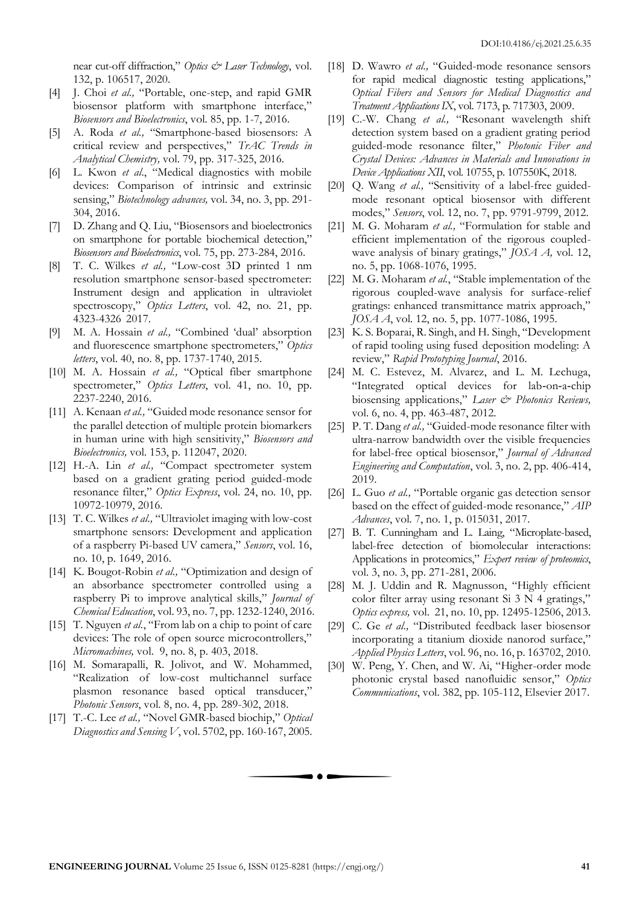near cut-off diffraction," *Optics & Laser Technology*, vol. 132, p. 106517, 2020.

- [4] J. Choi *et al.,* "Portable, one-step, and rapid GMR biosensor platform with smartphone interface," *Biosensors and Bioelectronics*, vol. 85, pp. 1-7, 2016.
- [5] A. Roda *et al.,* "Smartphone-based biosensors: A critical review and perspectives," *TrAC Trends in Analytical Chemistry,* vol. 79, pp. 317-325, 2016.
- [6] L. Kwon *et al*., "Medical diagnostics with mobile devices: Comparison of intrinsic and extrinsic sensing," *Biotechnology advances,* vol. 34, no. 3, pp. 291- 304, 2016.
- [7] D. Zhang and Q. Liu, "Biosensors and bioelectronics on smartphone for portable biochemical detection," *Biosensors and Bioelectronics*, vol. 75, pp. 273-284, 2016.
- [8] T. C. Wilkes *et al.,* "Low-cost 3D printed 1 nm resolution smartphone sensor-based spectrometer: Instrument design and application in ultraviolet spectroscopy," *Optics Letters*, vol. 42, no. 21, pp. 4323-4326 2017.
- [9] M. A. Hossain *et al.,* "Combined 'dual' absorption and fluorescence smartphone spectrometers," *Optics letters*, vol. 40, no. 8, pp. 1737-1740, 2015.
- [10] M. A. Hossain *et al.,* "Optical fiber smartphone spectrometer," *Optics Letters*, vol. 41, no. 10, pp. 2237-2240, 2016.
- [11] A. Kenaan *et al.,* "Guided mode resonance sensor for the parallel detection of multiple protein biomarkers in human urine with high sensitivity," *Biosensors and Bioelectronics,* vol. 153, p. 112047, 2020.
- [12] H.-A. Lin *et al.,* "Compact spectrometer system based on a gradient grating period guided-mode resonance filter," *Optics Express*, vol. 24, no. 10, pp. 10972-10979, 2016.
- [13] T. C. Wilkes *et al.,* "Ultraviolet imaging with low-cost smartphone sensors: Development and application of a raspberry Pi-based UV camera," *Sensors*, vol. 16, no. 10, p. 1649, 2016.
- [14] K. Bougot-Robin *et al.,* "Optimization and design of an absorbance spectrometer controlled using a raspberry Pi to improve analytical skills," *Journal of Chemical Education*, vol. 93, no. 7, pp. 1232-1240, 2016.
- [15] T. Nguyen *et al.*, "From lab on a chip to point of care devices: The role of open source microcontrollers," *Micromachines,* vol. 9, no. 8, p. 403, 2018.
- [16] M. Somarapalli, R. Jolivot, and W. Mohammed, "Realization of low-cost multichannel surface plasmon resonance based optical transducer," *Photonic Sensors*, vol. 8, no. 4, pp. 289-302, 2018.
- [17] T.-C. Lee *et al.,* "Novel GMR-based biochip," *Optical Diagnostics and Sensing V*, vol. 5702, pp. 160-167, 2005.
- [18] D. Wawro *et al.*, "Guided-mode resonance sensors for rapid medical diagnostic testing applications," *Optical Fibers and Sensors for Medical Diagnostics and Treatment Applications IX*, vol. 7173, p. 717303, 2009.
- [19] C.-W. Chang *et al.,* "Resonant wavelength shift detection system based on a gradient grating period guided-mode resonance filter," *Photonic Fiber and Crystal Devices: Advances in Materials and Innovations in Device Applications XII*, vol. 10755, p. 107550K, 2018.
- [20] Q. Wang *et al.*, "Sensitivity of a label-free guidedmode resonant optical biosensor with different modes," *Sensors*, vol. 12, no. 7, pp. 9791-9799, 2012.
- [21] M. G. Moharam *et al.,* "Formulation for stable and efficient implementation of the rigorous coupledwave analysis of binary gratings," *JOSA A,* vol. 12, no. 5, pp. 1068-1076, 1995.
- [22] M. G. Moharam *et al.*, "Stable implementation of the rigorous coupled-wave analysis for surface-relief gratings: enhanced transmittance matrix approach," *JOSA A*, vol. 12, no. 5, pp. 1077-1086, 1995.
- [23] K. S. Boparai, R. Singh, and H. Singh, "Development of rapid tooling using fused deposition modeling: A review," *Rapid Prototyping Journal*, 2016.
- [24] M. C. Estevez, M. Alvarez, and L. M. Lechuga, "Integrated optical devices for lab‐on‐a‐chip biosensing applications," *Laser & Photonics Reviews,* vol. 6, no. 4, pp. 463-487, 2012.
- [25] P. T. Dang et al., "Guided-mode resonance filter with ultra-narrow bandwidth over the visible frequencies for label-free optical biosensor," *Journal of Advanced Engineering and Computation*, vol. 3, no. 2, pp. 406-414, 2019.
- [26] L. Guo *et al.,* "Portable organic gas detection sensor based on the effect of guided-mode resonance," *AIP Advances*, vol. 7, no. 1, p. 015031, 2017.
- [27] B. T. Cunningham and L. Laing, "Microplate-based, label-free detection of biomolecular interactions: Applications in proteomics," *Expert review of proteomics*, vol. 3, no. 3, pp. 271-281, 2006.
- [28] M. J. Uddin and R. Magnusson, "Highly efficient color filter array using resonant Si  $3 \text{ N } 4$  gratings," *Optics express,* vol. 21, no. 10, pp. 12495-12506, 2013.
- [29] C. Ge *et al.,* "Distributed feedback laser biosensor incorporating a titanium dioxide nanorod surface," *Applied Physics Letters*, vol. 96, no. 16, p. 163702, 2010.
- [30] W. Peng, Y. Chen, and W. Ai, "Higher-order mode photonic crystal based nanofluidic sensor," *Optics Communications*, vol. 382, pp. 105-112, Elsevier 2017.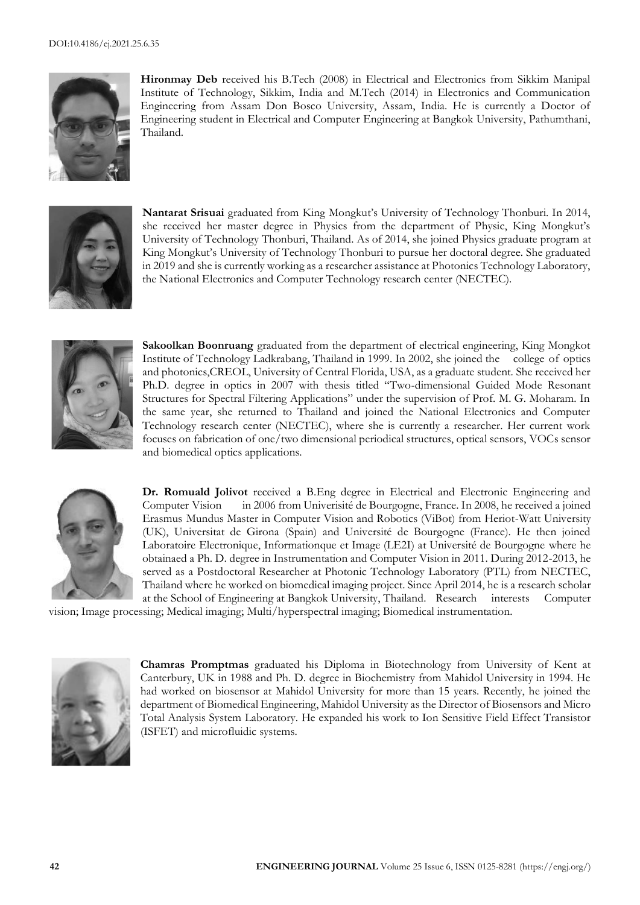

**Hironmay Deb** received his B.Tech (2008) in Electrical and Electronics from Sikkim Manipal Institute of Technology, Sikkim, India and M.Tech (2014) in Electronics and Communication Engineering from Assam Don Bosco University, Assam, India. He is currently a Doctor of Engineering student in Electrical and Computer Engineering at Bangkok University, Pathumthani, Thailand.



**Nantarat Srisuai** graduated from King Mongkut's University of Technology Thonburi. In 2014, she received her master degree in Physics from the department of Physic, King Mongkut's University of Technology Thonburi, Thailand. As of 2014, she joined Physics graduate program at King Mongkut's University of Technology Thonburi to pursue her doctoral degree. She graduated in 2019 and she is currently working as a researcher assistance at Photonics Technology Laboratory, the National Electronics and Computer Technology research center (NECTEC).



**Sakoolkan Boonruang** graduated from the department of electrical engineering, King Mongkot Institute of Technology Ladkrabang, Thailand in 1999. In 2002, she joined the college of optics and photonics,CREOL, University of Central Florida, USA, as a graduate student. She received her Ph.D. degree in optics in 2007 with thesis titled "Two-dimensional Guided Mode Resonant Structures for Spectral Filtering Applications" under the supervision of Prof. M. G. Moharam. In the same year, she returned to Thailand and joined the National Electronics and Computer Technology research center (NECTEC), where she is currently a researcher. Her current work focuses on fabrication of one/two dimensional periodical structures, optical sensors, VOCs sensor and biomedical optics applications.



**Dr. Romuald Jolivot** received a B.Eng degree in Electrical and Electronic Engineering and Computer Vision in 2006 from Univerisité de Bourgogne, France. In 2008, he received a joined Erasmus Mundus Master in Computer Vision and Robotics (ViBot) from Heriot-Watt University (UK), Universitat de Girona (Spain) and Université de Bourgogne (France). He then joined Laboratoire Electronique, Informationque et Image (LE2I) at Université de Bourgogne where he obtainaed a Ph. D. degree in Instrumentation and Computer Vision in 2011. During 2012-2013, he served as a Postdoctoral Researcher at Photonic Technology Laboratory (PTL) from NECTEC, Thailand where he worked on biomedical imaging project. Since April 2014, he is a research scholar at the School of Engineering at Bangkok University, Thailand. Research interests Computer

vision; Image processing; Medical imaging; Multi/hyperspectral imaging; Biomedical instrumentation.



**Chamras Promptmas** graduated his Diploma in Biotechnology from University of Kent at Canterbury, UK in 1988 and Ph. D. degree in Biochemistry from Mahidol University in 1994. He had worked on biosensor at Mahidol University for more than 15 years. Recently, he joined the department of Biomedical Engineering, Mahidol University as the Director of Biosensors and Micro Total Analysis System Laboratory. He expanded his work to Ion Sensitive Field Effect Transistor (ISFET) and microfluidic systems.